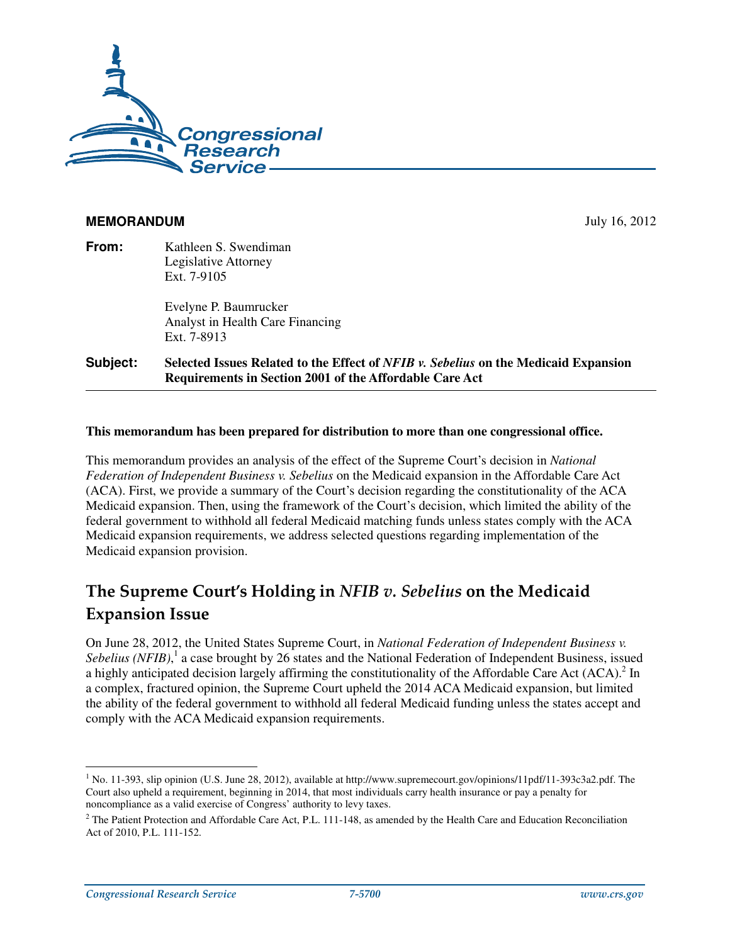

### **MEMORANDUM** July 16, 2012

**From:** Kathleen S. Swendiman Legislative Attorney Ext. 7-9105

> Evelyne P. Baumrucker Analyst in Health Care Financing Ext. 7-8913

**Subject: Selected Issues Related to the Effect of** *NFIB v. Sebelius* **on the Medicaid Expansion Requirements in Section 2001 of the Affordable Care Act** 

#### **This memorandum has been prepared for distribution to more than one congressional office.**

This memorandum provides an analysis of the effect of the Supreme Court's decision in *National Federation of Independent Business v. Sebelius* on the Medicaid expansion in the Affordable Care Act (ACA). First, we provide a summary of the Court's decision regarding the constitutionality of the ACA Medicaid expansion. Then, using the framework of the Court's decision, which limited the ability of the federal government to withhold all federal Medicaid matching funds unless states comply with the ACA Medicaid expansion requirements, we address selected questions regarding implementation of the Medicaid expansion provision.

# The Supreme Court's Holding in NFIB  $v$ . Sebelius on the Medicaid **Expansion Issue**

On June 28, 2012, the United States Supreme Court, in *National Federation of Independent Business v.*  Sebelius (NFIB),<sup>1</sup> a case brought by 26 states and the National Federation of Independent Business, issued a highly anticipated decision largely affirming the constitutionality of the Affordable Care Act  $(ACA)$ .<sup>2</sup> In a complex, fractured opinion, the Supreme Court upheld the 2014 ACA Medicaid expansion, but limited the ability of the federal government to withhold all federal Medicaid funding unless the states accept and comply with the ACA Medicaid expansion requirements.

<sup>&</sup>lt;sup>1</sup> No. 11-393, slip opinion (U.S. June 28, 2012), available at http://www.supremecourt.gov/opinions/11pdf/11-393c3a2.pdf. The Court also upheld a requirement, beginning in 2014, that most individuals carry health insurance or pay a penalty for noncompliance as a valid exercise of Congress' authority to levy taxes.

 $<sup>2</sup>$  The Patient Protection and Affordable Care Act, P.L. 111-148, as amended by the Health Care and Education Reconciliation</sup> Act of 2010, P.L. 111-152.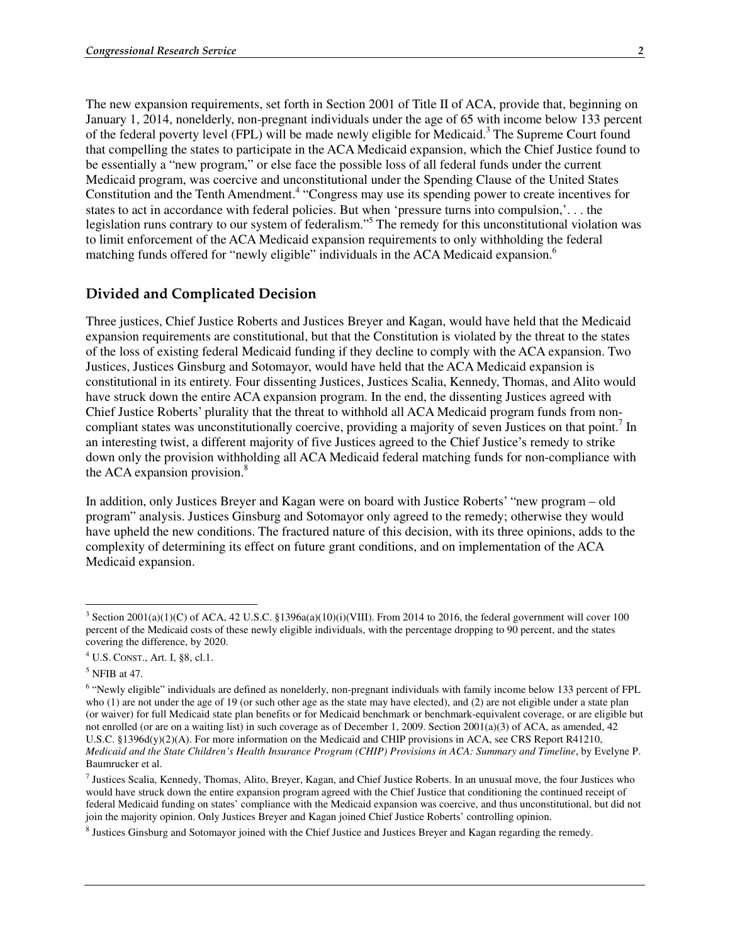The new expansion requirements, set forth in Section 2001 of Title II of ACA, provide that, beginning on January 1, 2014, nonelderly, non-pregnant individuals under the age of 65 with income below 133 percent of the federal poverty level (FPL) will be made newly eligible for Medicaid.<sup>3</sup> The Supreme Court found that compelling the states to participate in the ACA Medicaid expansion, which the Chief Justice found to be essentially a "new program," or else face the possible loss of all federal funds under the current Medicaid program, was coercive and unconstitutional under the Spending Clause of the United States Constitution and the Tenth Amendment.<sup>4</sup> "Congress may use its spending power to create incentives for states to act in accordance with federal policies. But when 'pressure turns into compulsion,'. . . the legislation runs contrary to our system of federalism."<sup>5</sup> The remedy for this unconstitutional violation was to limit enforcement of the ACA Medicaid expansion requirements to only withholding the federal matching funds offered for "newly eligible" individuals in the ACA Medicaid expansion.<sup>6</sup>

#### Divided and Complicated Decision

Three justices, Chief Justice Roberts and Justices Breyer and Kagan, would have held that the Medicaid expansion requirements are constitutional, but that the Constitution is violated by the threat to the states of the loss of existing federal Medicaid funding if they decline to comply with the ACA expansion. Two Justices, Justices Ginsburg and Sotomayor, would have held that the ACA Medicaid expansion is constitutional in its entirety. Four dissenting Justices, Justices Scalia, Kennedy, Thomas, and Alito would have struck down the entire ACA expansion program. In the end, the dissenting Justices agreed with Chief Justice Roberts' plurality that the threat to withhold all ACA Medicaid program funds from noncompliant states was unconstitutionally coercive, providing a majority of seven Justices on that point.<sup>7</sup> In an interesting twist, a different majority of five Justices agreed to the Chief Justice's remedy to strike down only the provision withholding all ACA Medicaid federal matching funds for non-compliance with the ACA expansion provision.<sup>8</sup>

In addition, only Justices Breyer and Kagan were on board with Justice Roberts' "new program – old program" analysis. Justices Ginsburg and Sotomayor only agreed to the remedy; otherwise they would have upheld the new conditions. The fractured nature of this decision, with its three opinions, adds to the complexity of determining its effect on future grant conditions, and on implementation of the ACA Medicaid expansion.

<sup>&</sup>lt;sup>3</sup> Section 2001(a)(1)(C) of ACA, 42 U.S.C. §1396a(a)(10)(i)(VIII). From 2014 to 2016, the federal government will cover 100 percent of the Medicaid costs of these newly eligible individuals, with the percentage dropping to 90 percent, and the states covering the difference, by 2020.

<sup>4</sup> U.S. CONST., Art. I, §8, cl.1.

<sup>&</sup>lt;sup>5</sup> NFIB at 47.

<sup>&</sup>lt;sup>6</sup> "Newly eligible" individuals are defined as nonelderly, non-pregnant individuals with family income below 133 percent of FPL who (1) are not under the age of 19 (or such other age as the state may have elected), and (2) are not eligible under a state plan (or waiver) for full Medicaid state plan benefits or for Medicaid benchmark or benchmark-equivalent coverage, or are eligible but not enrolled (or are on a waiting list) in such coverage as of December 1, 2009. Section 2001(a)(3) of ACA, as amended, 42 U.S.C. §1396d(y)(2)(A). For more information on the Medicaid and CHIP provisions in ACA, see CRS Report R41210, *Medicaid and the State Children's Health Insurance Program (CHIP) Provisions in ACA: Summary and Timeline*, by Evelyne P. Baumrucker et al.

<sup>&</sup>lt;sup>7</sup> Justices Scalia, Kennedy, Thomas, Alito, Breyer, Kagan, and Chief Justice Roberts. In an unusual move, the four Justices who would have struck down the entire expansion program agreed with the Chief Justice that conditioning the continued receipt of federal Medicaid funding on states' compliance with the Medicaid expansion was coercive, and thus unconstitutional, but did not join the majority opinion. Only Justices Breyer and Kagan joined Chief Justice Roberts' controlling opinion.

<sup>8</sup> Justices Ginsburg and Sotomayor joined with the Chief Justice and Justices Breyer and Kagan regarding the remedy.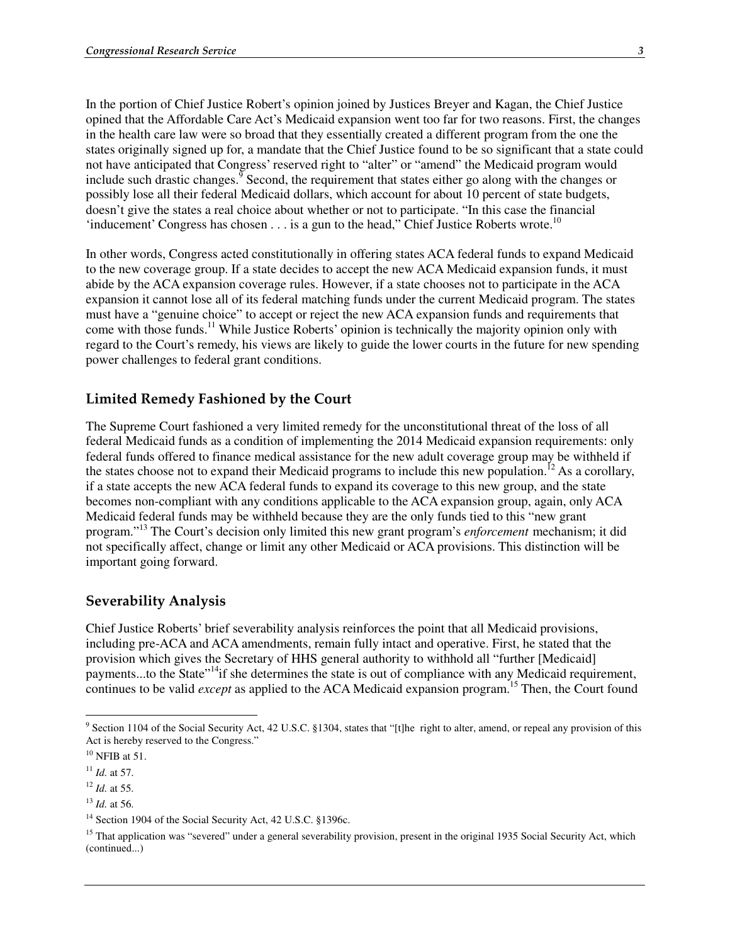In the portion of Chief Justice Robert's opinion joined by Justices Breyer and Kagan, the Chief Justice opined that the Affordable Care Act's Medicaid expansion went too far for two reasons. First, the changes in the health care law were so broad that they essentially created a different program from the one the states originally signed up for, a mandate that the Chief Justice found to be so significant that a state could not have anticipated that Congress' reserved right to "alter" or "amend" the Medicaid program would include such drastic changes.<sup>9</sup> Second, the requirement that states either go along with the changes or possibly lose all their federal Medicaid dollars, which account for about 10 percent of state budgets, doesn't give the states a real choice about whether or not to participate. "In this case the financial 'inducement' Congress has chosen  $\dots$  is a gun to the head," Chief Justice Roberts wrote.<sup>10</sup>

In other words, Congress acted constitutionally in offering states ACA federal funds to expand Medicaid to the new coverage group. If a state decides to accept the new ACA Medicaid expansion funds, it must abide by the ACA expansion coverage rules. However, if a state chooses not to participate in the ACA expansion it cannot lose all of its federal matching funds under the current Medicaid program. The states must have a "genuine choice" to accept or reject the new ACA expansion funds and requirements that come with those funds.<sup>11</sup> While Justice Roberts' opinion is technically the majority opinion only with regard to the Court's remedy, his views are likely to guide the lower courts in the future for new spending power challenges to federal grant conditions.

#### Limited Remedy Fashioned by the Court

The Supreme Court fashioned a very limited remedy for the unconstitutional threat of the loss of all federal Medicaid funds as a condition of implementing the 2014 Medicaid expansion requirements: only federal funds offered to finance medical assistance for the new adult coverage group may be withheld if the states choose not to expand their Medicaid programs to include this new population.<sup>12</sup> As a corollary, if a state accepts the new ACA federal funds to expand its coverage to this new group, and the state becomes non-compliant with any conditions applicable to the ACA expansion group, again, only ACA Medicaid federal funds may be withheld because they are the only funds tied to this "new grant program."13 The Court's decision only limited this new grant program's *enforcement* mechanism; it did not specifically affect, change or limit any other Medicaid or ACA provisions. This distinction will be important going forward.

#### Severability Analysis

Chief Justice Roberts' brief severability analysis reinforces the point that all Medicaid provisions, including pre-ACA and ACA amendments, remain fully intact and operative. First, he stated that the provision which gives the Secretary of HHS general authority to withhold all "further [Medicaid] payments...to the State"<sup>14</sup>if she determines the state is out of compliance with any Medicaid requirement, continues to be valid *except* as applied to the ACA Medicaid expansion program.<sup>15</sup> Then, the Court found

<sup>&</sup>lt;sup>9</sup> Section 1104 of the Social Security Act, 42 U.S.C. §1304, states that "[t]he right to alter, amend, or repeal any provision of this Act is hereby reserved to the Congress."

 $10$  NFIB at 51.

<sup>11</sup> *Id.* at 57.

<sup>12</sup> *Id.* at 55.

<sup>13</sup> *Id.* at 56.

<sup>&</sup>lt;sup>14</sup> Section 1904 of the Social Security Act, 42 U.S.C. §1396c.

<sup>&</sup>lt;sup>15</sup> That application was "severed" under a general severability provision, present in the original 1935 Social Security Act, which (continued...)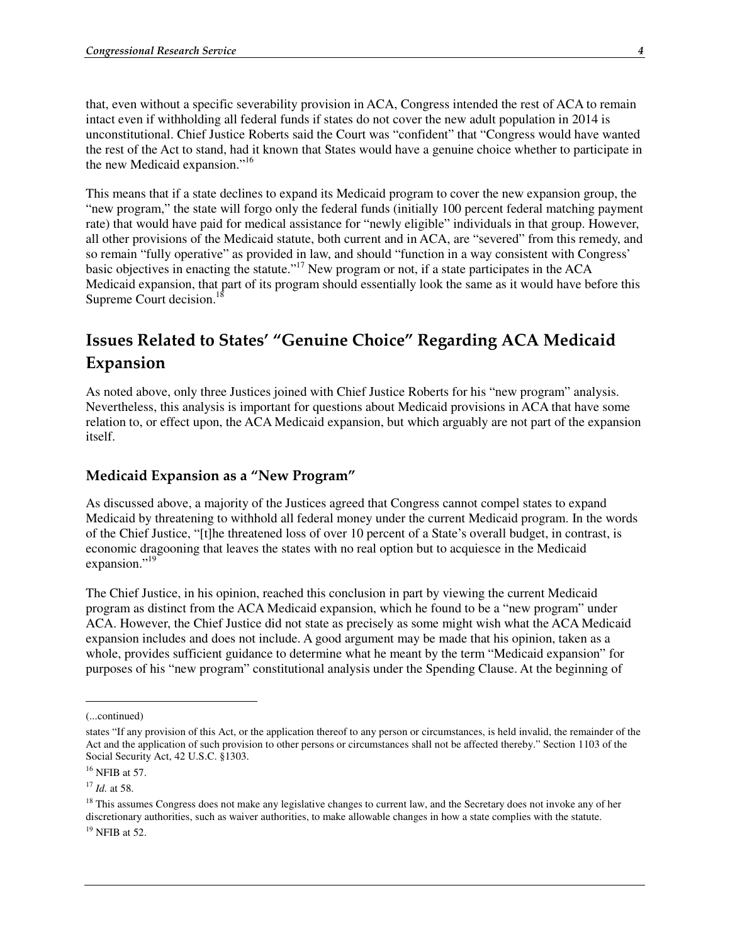that, even without a specific severability provision in ACA, Congress intended the rest of ACA to remain intact even if withholding all federal funds if states do not cover the new adult population in 2014 is unconstitutional. Chief Justice Roberts said the Court was "confident" that "Congress would have wanted the rest of the Act to stand, had it known that States would have a genuine choice whether to participate in the new Medicaid expansion."<sup>16</sup>

This means that if a state declines to expand its Medicaid program to cover the new expansion group, the "new program," the state will forgo only the federal funds (initially 100 percent federal matching payment rate) that would have paid for medical assistance for "newly eligible" individuals in that group. However, all other provisions of the Medicaid statute, both current and in ACA, are "severed" from this remedy, and so remain "fully operative" as provided in law, and should "function in a way consistent with Congress' basic objectives in enacting the statute."17 New program or not, if a state participates in the ACA Medicaid expansion, that part of its program should essentially look the same as it would have before this Supreme Court decision.<sup>18</sup>

# Issues Related to States' "Genuine Choice" Regarding ACA Medicaid Expansion

As noted above, only three Justices joined with Chief Justice Roberts for his "new program" analysis. Nevertheless, this analysis is important for questions about Medicaid provisions in ACA that have some relation to, or effect upon, the ACA Medicaid expansion, but which arguably are not part of the expansion itself.

#### Medicaid Expansion as a "New Program"

As discussed above, a majority of the Justices agreed that Congress cannot compel states to expand Medicaid by threatening to withhold all federal money under the current Medicaid program. In the words of the Chief Justice, "[t]he threatened loss of over 10 percent of a State's overall budget, in contrast, is economic dragooning that leaves the states with no real option but to acquiesce in the Medicaid expansion."<sup>19</sup>

The Chief Justice, in his opinion, reached this conclusion in part by viewing the current Medicaid program as distinct from the ACA Medicaid expansion, which he found to be a "new program" under ACA. However, the Chief Justice did not state as precisely as some might wish what the ACA Medicaid expansion includes and does not include. A good argument may be made that his opinion, taken as a whole, provides sufficient guidance to determine what he meant by the term "Medicaid expansion" for purposes of his "new program" constitutional analysis under the Spending Clause. At the beginning of

 $\overline{a}$ 

<sup>17</sup> *Id.* at 58.

<sup>(...</sup>continued)

states "If any provision of this Act, or the application thereof to any person or circumstances, is held invalid, the remainder of the Act and the application of such provision to other persons or circumstances shall not be affected thereby." Section 1103 of the Social Security Act, 42 U.S.C. §1303.

 $16$  NFIB at 57.

<sup>&</sup>lt;sup>18</sup> This assumes Congress does not make any legislative changes to current law, and the Secretary does not invoke any of her discretionary authorities, such as waiver authorities, to make allowable changes in how a state complies with the statute.  $19$  NFIB at 52.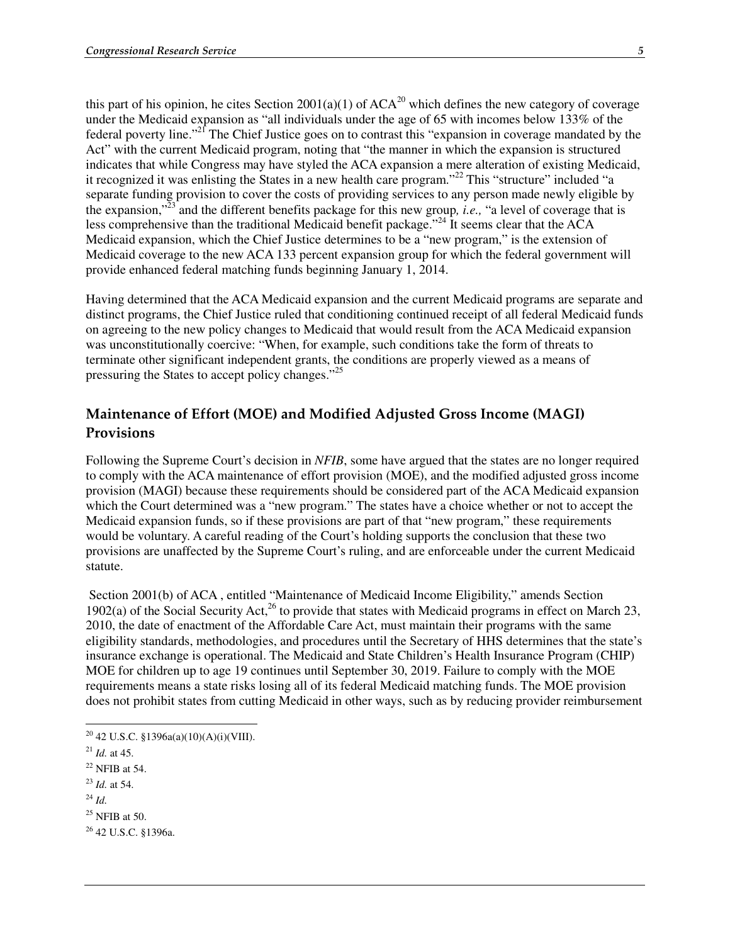this part of his opinion, he cites Section 2001(a)(1) of  $ACA^{20}$  which defines the new category of coverage under the Medicaid expansion as "all individuals under the age of 65 with incomes below 133% of the federal poverty line."21 The Chief Justice goes on to contrast this "expansion in coverage mandated by the Act" with the current Medicaid program, noting that "the manner in which the expansion is structured indicates that while Congress may have styled the ACA expansion a mere alteration of existing Medicaid, it recognized it was enlisting the States in a new health care program."<sup>22</sup> This "structure" included "a separate funding provision to cover the costs of providing services to any person made newly eligible by the expansion,"23 and the different benefits package for this new group*, i.e.,* "a level of coverage that is less comprehensive than the traditional Medicaid benefit package."<sup>24</sup> It seems clear that the ACA Medicaid expansion, which the Chief Justice determines to be a "new program," is the extension of Medicaid coverage to the new ACA 133 percent expansion group for which the federal government will provide enhanced federal matching funds beginning January 1, 2014.

Having determined that the ACA Medicaid expansion and the current Medicaid programs are separate and distinct programs, the Chief Justice ruled that conditioning continued receipt of all federal Medicaid funds on agreeing to the new policy changes to Medicaid that would result from the ACA Medicaid expansion was unconstitutionally coercive: "When, for example, such conditions take the form of threats to terminate other significant independent grants, the conditions are properly viewed as a means of pressuring the States to accept policy changes."<sup>25</sup>

## Maintenance of Effort (MOE) and Modified Adjusted Gross Income (MAGI) Provisions

Following the Supreme Court's decision in *NFIB*, some have argued that the states are no longer required to comply with the ACA maintenance of effort provision (MOE), and the modified adjusted gross income provision (MAGI) because these requirements should be considered part of the ACA Medicaid expansion which the Court determined was a "new program." The states have a choice whether or not to accept the Medicaid expansion funds, so if these provisions are part of that "new program," these requirements would be voluntary. A careful reading of the Court's holding supports the conclusion that these two provisions are unaffected by the Supreme Court's ruling, and are enforceable under the current Medicaid statute.

 Section 2001(b) of ACA , entitled "Maintenance of Medicaid Income Eligibility," amends Section 1902(a) of the Social Security Act,<sup>26</sup> to provide that states with Medicaid programs in effect on March 23, 2010, the date of enactment of the Affordable Care Act, must maintain their programs with the same eligibility standards, methodologies, and procedures until the Secretary of HHS determines that the state's insurance exchange is operational. The Medicaid and State Children's Health Insurance Program (CHIP) MOE for children up to age 19 continues until September 30, 2019. Failure to comply with the MOE requirements means a state risks losing all of its federal Medicaid matching funds. The MOE provision does not prohibit states from cutting Medicaid in other ways, such as by reducing provider reimbursement

26 42 U.S.C. §1396a.

 $\overline{a}$ <sup>20</sup> 42 U.S.C. §1396a(a)(10)(A)(i)(VIII).

 $^{21}$  *Id.* at 45.

 $22$  NFIB at 54.

<sup>23</sup> *Id.* at 54.

<sup>24</sup> *Id.* 

 $25$  NFIB at 50.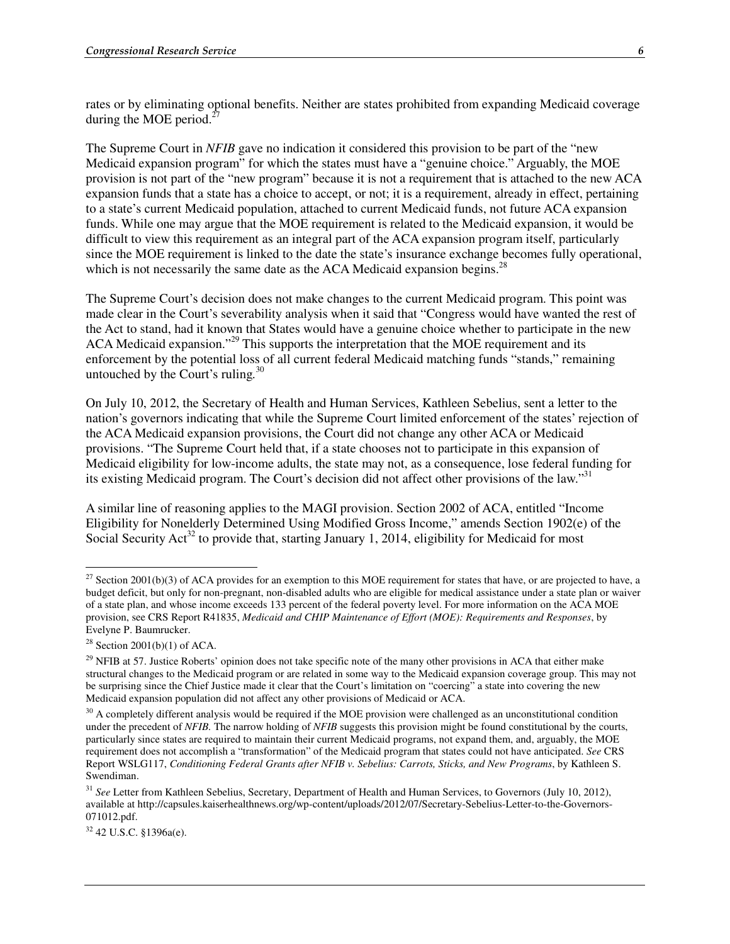rates or by eliminating optional benefits. Neither are states prohibited from expanding Medicaid coverage during the MOE period. $2^2$ 

The Supreme Court in *NFIB* gave no indication it considered this provision to be part of the "new Medicaid expansion program" for which the states must have a "genuine choice." Arguably, the MOE provision is not part of the "new program" because it is not a requirement that is attached to the new ACA expansion funds that a state has a choice to accept, or not; it is a requirement, already in effect, pertaining to a state's current Medicaid population, attached to current Medicaid funds, not future ACA expansion funds. While one may argue that the MOE requirement is related to the Medicaid expansion, it would be difficult to view this requirement as an integral part of the ACA expansion program itself, particularly since the MOE requirement is linked to the date the state's insurance exchange becomes fully operational, which is not necessarily the same date as the ACA Medicaid expansion begins.<sup>28</sup>

The Supreme Court's decision does not make changes to the current Medicaid program. This point was made clear in the Court's severability analysis when it said that "Congress would have wanted the rest of the Act to stand, had it known that States would have a genuine choice whether to participate in the new ACA Medicaid expansion."<sup>29</sup> This supports the interpretation that the MOE requirement and its enforcement by the potential loss of all current federal Medicaid matching funds "stands," remaining untouched by the Court's ruling*.* 30

On July 10, 2012, the Secretary of Health and Human Services, Kathleen Sebelius, sent a letter to the nation's governors indicating that while the Supreme Court limited enforcement of the states' rejection of the ACA Medicaid expansion provisions, the Court did not change any other ACA or Medicaid provisions. "The Supreme Court held that, if a state chooses not to participate in this expansion of Medicaid eligibility for low-income adults, the state may not, as a consequence, lose federal funding for its existing Medicaid program. The Court's decision did not affect other provisions of the law."<sup>31</sup>

A similar line of reasoning applies to the MAGI provision. Section 2002 of ACA, entitled "Income Eligibility for Nonelderly Determined Using Modified Gross Income," amends Section 1902(e) of the Social Security Act<sup>32</sup> to provide that, starting January 1, 2014, eligibility for Medicaid for most

 $\overline{a}$ 

32 42 U.S.C. §1396a(e).

 $^{27}$  Section 2001(b)(3) of ACA provides for an exemption to this MOE requirement for states that have, or are projected to have, a budget deficit, but only for non-pregnant, non-disabled adults who are eligible for medical assistance under a state plan or waiver of a state plan, and whose income exceeds 133 percent of the federal poverty level. For more information on the ACA MOE provision, see CRS Report R41835, *Medicaid and CHIP Maintenance of Effort (MOE): Requirements and Responses*, by Evelyne P. Baumrucker.

<sup>&</sup>lt;sup>28</sup> Section 2001(b)(1) of ACA.

 $^{29}$  NFIB at 57. Justice Roberts' opinion does not take specific note of the many other provisions in ACA that either make structural changes to the Medicaid program or are related in some way to the Medicaid expansion coverage group. This may not be surprising since the Chief Justice made it clear that the Court's limitation on "coercing" a state into covering the new Medicaid expansion population did not affect any other provisions of Medicaid or ACA.

 $30$  A completely different analysis would be required if the MOE provision were challenged as an unconstitutional condition under the precedent of *NFIB.* The narrow holding of *NFIB* suggests this provision might be found constitutional by the courts, particularly since states are required to maintain their current Medicaid programs, not expand them, and, arguably, the MOE requirement does not accomplish a "transformation" of the Medicaid program that states could not have anticipated. *See* CRS Report WSLG117, *Conditioning Federal Grants after NFIB v. Sebelius: Carrots, Sticks, and New Programs*, by Kathleen S. Swendiman.

<sup>&</sup>lt;sup>31</sup> See Letter from Kathleen Sebelius, Secretary, Department of Health and Human Services, to Governors (July 10, 2012), available at http://capsules.kaiserhealthnews.org/wp-content/uploads/2012/07/Secretary-Sebelius-Letter-to-the-Governors-071012.pdf.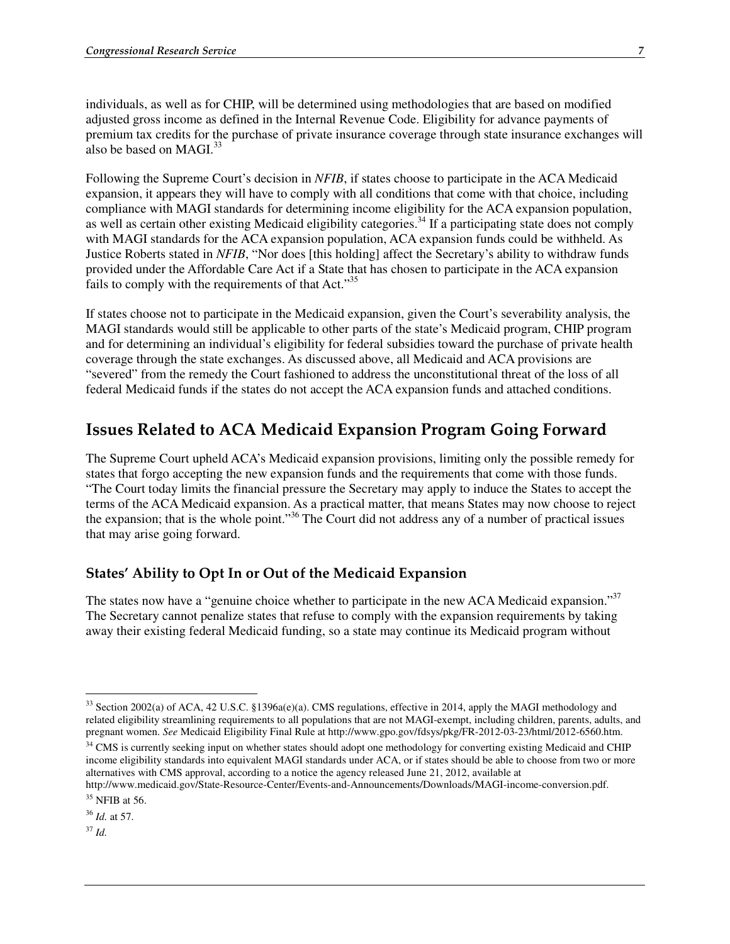individuals, as well as for CHIP, will be determined using methodologies that are based on modified adjusted gross income as defined in the Internal Revenue Code. Eligibility for advance payments of premium tax credits for the purchase of private insurance coverage through state insurance exchanges will also be based on  $MAGI.<sup>33</sup>$ 

Following the Supreme Court's decision in *NFIB*, if states choose to participate in the ACA Medicaid expansion, it appears they will have to comply with all conditions that come with that choice, including compliance with MAGI standards for determining income eligibility for the ACA expansion population, as well as certain other existing Medicaid eligibility categories.<sup>34</sup> If a participating state does not comply with MAGI standards for the ACA expansion population, ACA expansion funds could be withheld. As Justice Roberts stated in *NFIB*, "Nor does [this holding] affect the Secretary's ability to withdraw funds provided under the Affordable Care Act if a State that has chosen to participate in the ACA expansion fails to comply with the requirements of that Act."<sup>35</sup>

If states choose not to participate in the Medicaid expansion, given the Court's severability analysis, the MAGI standards would still be applicable to other parts of the state's Medicaid program, CHIP program and for determining an individual's eligibility for federal subsidies toward the purchase of private health coverage through the state exchanges. As discussed above, all Medicaid and ACA provisions are "severed" from the remedy the Court fashioned to address the unconstitutional threat of the loss of all federal Medicaid funds if the states do not accept the ACA expansion funds and attached conditions.

# Issues Related to ACA Medicaid Expansion Program Going Forward

The Supreme Court upheld ACA's Medicaid expansion provisions, limiting only the possible remedy for states that forgo accepting the new expansion funds and the requirements that come with those funds. "The Court today limits the financial pressure the Secretary may apply to induce the States to accept the terms of the ACA Medicaid expansion. As a practical matter, that means States may now choose to reject the expansion; that is the whole point."36 The Court did not address any of a number of practical issues that may arise going forward.

### States' Ability to Opt In or Out of the Medicaid Expansion

The states now have a "genuine choice whether to participate in the new ACA Medicaid expansion."<sup>37</sup> The Secretary cannot penalize states that refuse to comply with the expansion requirements by taking away their existing federal Medicaid funding, so a state may continue its Medicaid program without

<sup>37</sup> *Id.*

<sup>&</sup>lt;sup>33</sup> Section 2002(a) of ACA, 42 U.S.C. §1396a(e)(a). CMS regulations, effective in 2014, apply the MAGI methodology and related eligibility streamlining requirements to all populations that are not MAGI-exempt, including children, parents, adults, and pregnant women. *See* Medicaid Eligibility Final Rule at http://www.gpo.gov/fdsys/pkg/FR-2012-03-23/html/2012-6560.htm.

<sup>&</sup>lt;sup>34</sup> CMS is currently seeking input on whether states should adopt one methodology for converting existing Medicaid and CHIP income eligibility standards into equivalent MAGI standards under ACA, or if states should be able to choose from two or more alternatives with CMS approval, according to a notice the agency released June 21, 2012, available at

http://www.medicaid.gov/State-Resource-Center/Events-and-Announcements/Downloads/MAGI-income-conversion.pdf. 35 NFIB at 56.

<sup>36</sup> *Id.* at 57.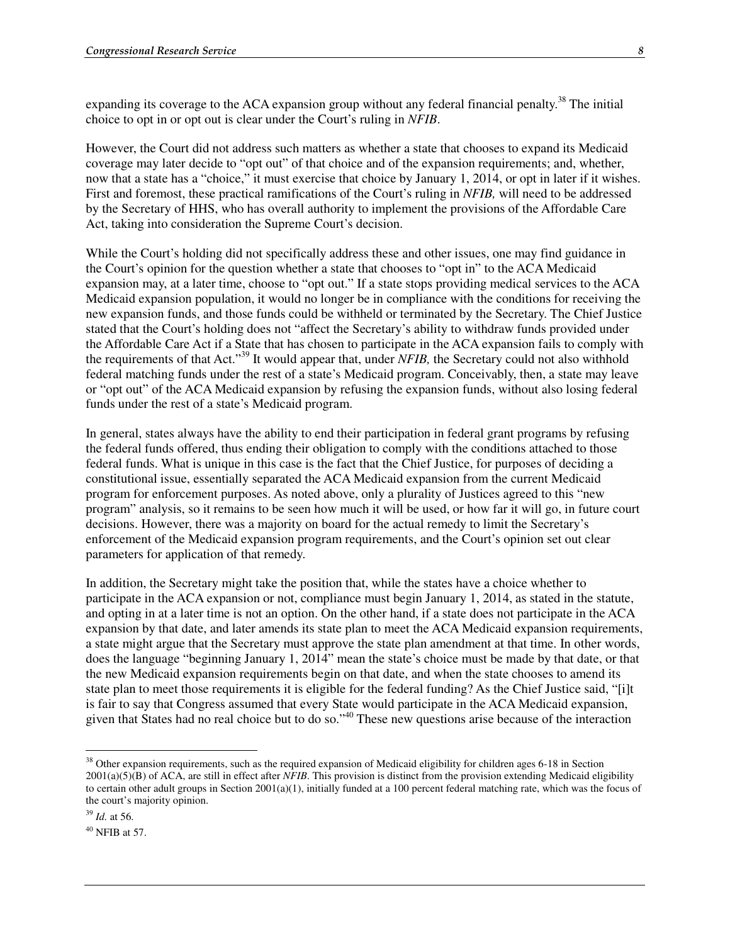expanding its coverage to the ACA expansion group without any federal financial penalty.<sup>38</sup> The initial choice to opt in or opt out is clear under the Court's ruling in *NFIB*.

However, the Court did not address such matters as whether a state that chooses to expand its Medicaid coverage may later decide to "opt out" of that choice and of the expansion requirements; and, whether, now that a state has a "choice," it must exercise that choice by January 1, 2014, or opt in later if it wishes. First and foremost, these practical ramifications of the Court's ruling in *NFIB,* will need to be addressed by the Secretary of HHS, who has overall authority to implement the provisions of the Affordable Care Act, taking into consideration the Supreme Court's decision.

While the Court's holding did not specifically address these and other issues, one may find guidance in the Court's opinion for the question whether a state that chooses to "opt in" to the ACA Medicaid expansion may, at a later time, choose to "opt out." If a state stops providing medical services to the ACA Medicaid expansion population, it would no longer be in compliance with the conditions for receiving the new expansion funds, and those funds could be withheld or terminated by the Secretary. The Chief Justice stated that the Court's holding does not "affect the Secretary's ability to withdraw funds provided under the Affordable Care Act if a State that has chosen to participate in the ACA expansion fails to comply with the requirements of that Act."39 It would appear that, under *NFIB,* the Secretary could not also withhold federal matching funds under the rest of a state's Medicaid program. Conceivably, then, a state may leave or "opt out" of the ACA Medicaid expansion by refusing the expansion funds, without also losing federal funds under the rest of a state's Medicaid program.

In general, states always have the ability to end their participation in federal grant programs by refusing the federal funds offered, thus ending their obligation to comply with the conditions attached to those federal funds. What is unique in this case is the fact that the Chief Justice, for purposes of deciding a constitutional issue, essentially separated the ACA Medicaid expansion from the current Medicaid program for enforcement purposes. As noted above, only a plurality of Justices agreed to this "new program" analysis, so it remains to be seen how much it will be used, or how far it will go, in future court decisions. However, there was a majority on board for the actual remedy to limit the Secretary's enforcement of the Medicaid expansion program requirements, and the Court's opinion set out clear parameters for application of that remedy.

In addition, the Secretary might take the position that, while the states have a choice whether to participate in the ACA expansion or not, compliance must begin January 1, 2014, as stated in the statute, and opting in at a later time is not an option. On the other hand, if a state does not participate in the ACA expansion by that date, and later amends its state plan to meet the ACA Medicaid expansion requirements, a state might argue that the Secretary must approve the state plan amendment at that time. In other words, does the language "beginning January 1, 2014" mean the state's choice must be made by that date, or that the new Medicaid expansion requirements begin on that date, and when the state chooses to amend its state plan to meet those requirements it is eligible for the federal funding? As the Chief Justice said, "[i]t is fair to say that Congress assumed that every State would participate in the ACA Medicaid expansion, given that States had no real choice but to do so."<sup>40</sup> These new questions arise because of the interaction

<sup>&</sup>lt;sup>38</sup> Other expansion requirements, such as the required expansion of Medicaid eligibility for children ages 6-18 in Section 2001(a)(5)(B) of ACA, are still in effect after *NFIB*. This provision is distinct from the provision extending Medicaid eligibility to certain other adult groups in Section 2001(a)(1), initially funded at a 100 percent federal matching rate, which was the focus of the court's majority opinion.

<sup>39</sup> *Id.* at 56.

 $40$  NFIB at 57.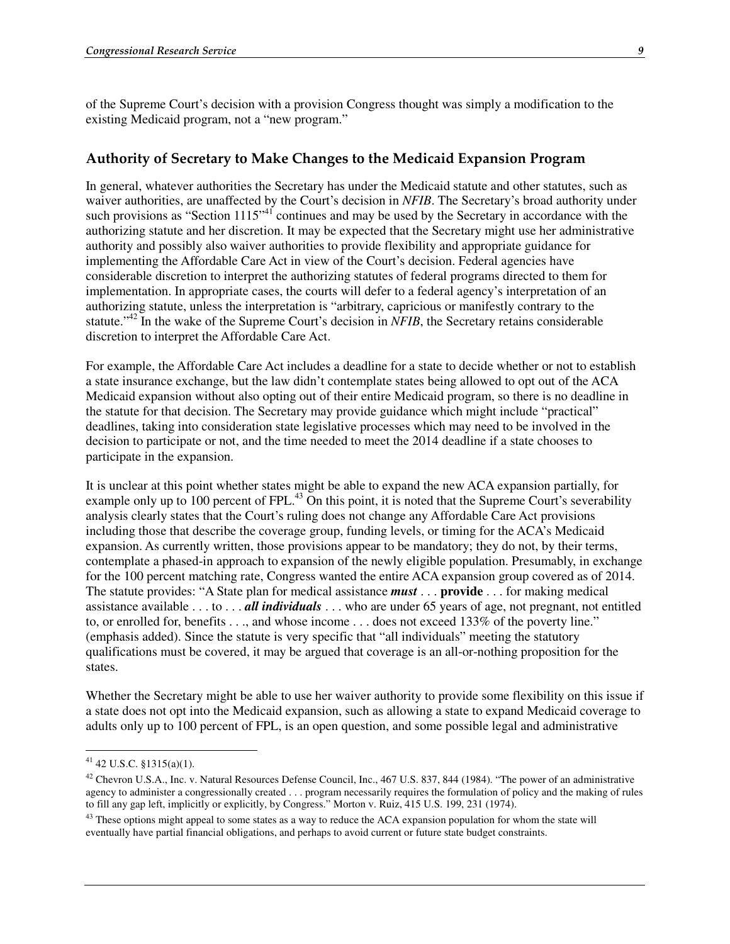of the Supreme Court's decision with a provision Congress thought was simply a modification to the existing Medicaid program, not a "new program."

### Authority of Secretary to Make Changes to the Medicaid Expansion Program

In general, whatever authorities the Secretary has under the Medicaid statute and other statutes, such as waiver authorities, are unaffected by the Court's decision in *NFIB*. The Secretary's broad authority under such provisions as "Section 1115<sup>"41</sup> continues and may be used by the Secretary in accordance with the authorizing statute and her discretion. It may be expected that the Secretary might use her administrative authority and possibly also waiver authorities to provide flexibility and appropriate guidance for implementing the Affordable Care Act in view of the Court's decision. Federal agencies have considerable discretion to interpret the authorizing statutes of federal programs directed to them for implementation. In appropriate cases, the courts will defer to a federal agency's interpretation of an authorizing statute, unless the interpretation is "arbitrary, capricious or manifestly contrary to the statute."<sup>42</sup> In the wake of the Supreme Court's decision in *NFIB*, the Secretary retains considerable discretion to interpret the Affordable Care Act.

For example, the Affordable Care Act includes a deadline for a state to decide whether or not to establish a state insurance exchange, but the law didn't contemplate states being allowed to opt out of the ACA Medicaid expansion without also opting out of their entire Medicaid program, so there is no deadline in the statute for that decision. The Secretary may provide guidance which might include "practical" deadlines, taking into consideration state legislative processes which may need to be involved in the decision to participate or not, and the time needed to meet the 2014 deadline if a state chooses to participate in the expansion.

It is unclear at this point whether states might be able to expand the new ACA expansion partially, for example only up to 100 percent of FPL.<sup>43</sup> On this point, it is noted that the Supreme Court's severability analysis clearly states that the Court's ruling does not change any Affordable Care Act provisions including those that describe the coverage group, funding levels, or timing for the ACA's Medicaid expansion. As currently written, those provisions appear to be mandatory; they do not, by their terms, contemplate a phased-in approach to expansion of the newly eligible population. Presumably, in exchange for the 100 percent matching rate, Congress wanted the entire ACA expansion group covered as of 2014. The statute provides: "A State plan for medical assistance *must* . . . **provide** . . . for making medical assistance available . . . to . . . *all individuals* . . . who are under 65 years of age, not pregnant, not entitled to, or enrolled for, benefits . . ., and whose income . . . does not exceed 133% of the poverty line." (emphasis added). Since the statute is very specific that "all individuals" meeting the statutory qualifications must be covered, it may be argued that coverage is an all-or-nothing proposition for the states.

Whether the Secretary might be able to use her waiver authority to provide some flexibility on this issue if a state does not opt into the Medicaid expansion, such as allowing a state to expand Medicaid coverage to adults only up to 100 percent of FPL, is an open question, and some possible legal and administrative

 $41$  42 U.S.C. §1315(a)(1).

 $42$  Chevron U.S.A., Inc. v. Natural Resources Defense Council, Inc., 467 U.S. 837, 844 (1984). "The power of an administrative agency to administer a congressionally created . . . program necessarily requires the formulation of policy and the making of rules to fill any gap left, implicitly or explicitly, by Congress." Morton v. Ruiz, 415 U.S. 199, 231 (1974).

<sup>&</sup>lt;sup>43</sup> These options might appeal to some states as a way to reduce the ACA expansion population for whom the state will eventually have partial financial obligations, and perhaps to avoid current or future state budget constraints.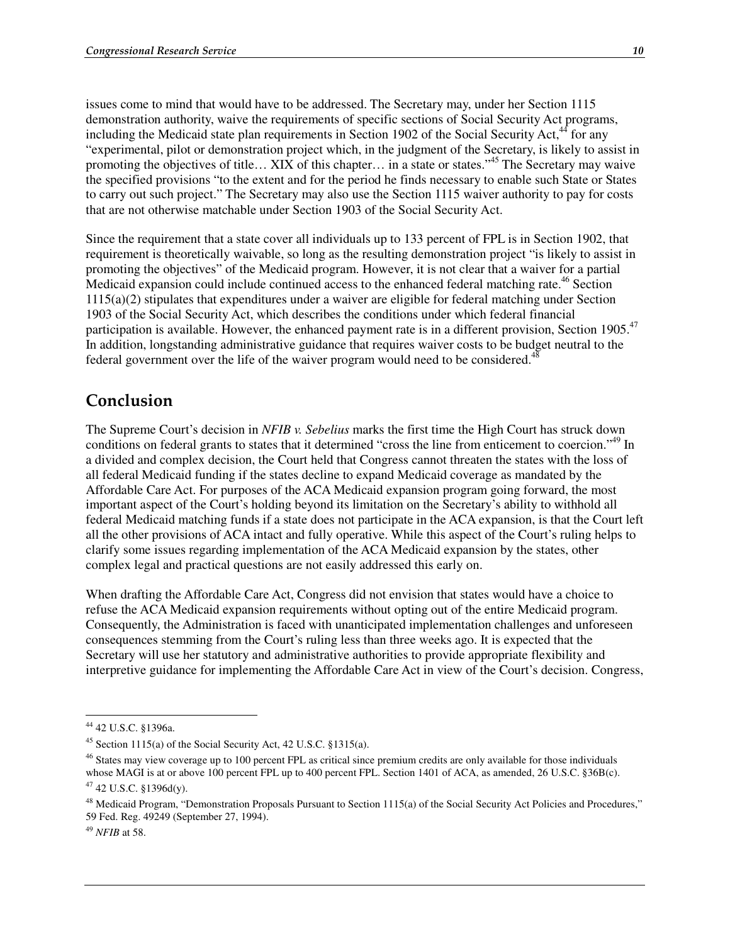issues come to mind that would have to be addressed. The Secretary may, under her Section 1115 demonstration authority, waive the requirements of specific sections of Social Security Act programs, including the Medicaid state plan requirements in Section 1902 of the Social Security Act, $44$  for any "experimental, pilot or demonstration project which, in the judgment of the Secretary, is likely to assist in promoting the objectives of title… XIX of this chapter… in a state or states."45 The Secretary may waive the specified provisions "to the extent and for the period he finds necessary to enable such State or States to carry out such project." The Secretary may also use the Section 1115 waiver authority to pay for costs that are not otherwise matchable under Section 1903 of the Social Security Act.

Since the requirement that a state cover all individuals up to 133 percent of FPL is in Section 1902, that requirement is theoretically waivable, so long as the resulting demonstration project "is likely to assist in promoting the objectives" of the Medicaid program. However, it is not clear that a waiver for a partial Medicaid expansion could include continued access to the enhanced federal matching rate.<sup>46</sup> Section 1115(a)(2) stipulates that expenditures under a waiver are eligible for federal matching under Section 1903 of the Social Security Act, which describes the conditions under which federal financial participation is available. However, the enhanced payment rate is in a different provision, Section 1905.<sup>47</sup> In addition, longstanding administrative guidance that requires waiver costs to be budget neutral to the federal government over the life of the waiver program would need to be considered.<sup>48</sup>

## Conclusion

The Supreme Court's decision in *NFIB v. Sebelius* marks the first time the High Court has struck down conditions on federal grants to states that it determined "cross the line from enticement to coercion."<sup>49</sup> In a divided and complex decision, the Court held that Congress cannot threaten the states with the loss of all federal Medicaid funding if the states decline to expand Medicaid coverage as mandated by the Affordable Care Act. For purposes of the ACA Medicaid expansion program going forward, the most important aspect of the Court's holding beyond its limitation on the Secretary's ability to withhold all federal Medicaid matching funds if a state does not participate in the ACA expansion, is that the Court left all the other provisions of ACA intact and fully operative. While this aspect of the Court's ruling helps to clarify some issues regarding implementation of the ACA Medicaid expansion by the states, other complex legal and practical questions are not easily addressed this early on.

When drafting the Affordable Care Act, Congress did not envision that states would have a choice to refuse the ACA Medicaid expansion requirements without opting out of the entire Medicaid program. Consequently, the Administration is faced with unanticipated implementation challenges and unforeseen consequences stemming from the Court's ruling less than three weeks ago. It is expected that the Secretary will use her statutory and administrative authorities to provide appropriate flexibility and interpretive guidance for implementing the Affordable Care Act in view of the Court's decision. Congress,

 $\overline{a}$ 44 42 U.S.C. §1396a.

<sup>45</sup> Section 1115(a) of the Social Security Act, 42 U.S.C. §1315(a).

<sup>&</sup>lt;sup>46</sup> States may view coverage up to 100 percent FPL as critical since premium credits are only available for those individuals whose MAGI is at or above 100 percent FPL up to 400 percent FPL. Section 1401 of ACA, as amended, 26 U.S.C. §36B(c).  $47$  42 U.S.C. §1396d(y).

<sup>&</sup>lt;sup>48</sup> Medicaid Program, "Demonstration Proposals Pursuant to Section 1115(a) of the Social Security Act Policies and Procedures," 59 Fed. Reg. 49249 (September 27, 1994).

<sup>49</sup> *NFIB* at 58.